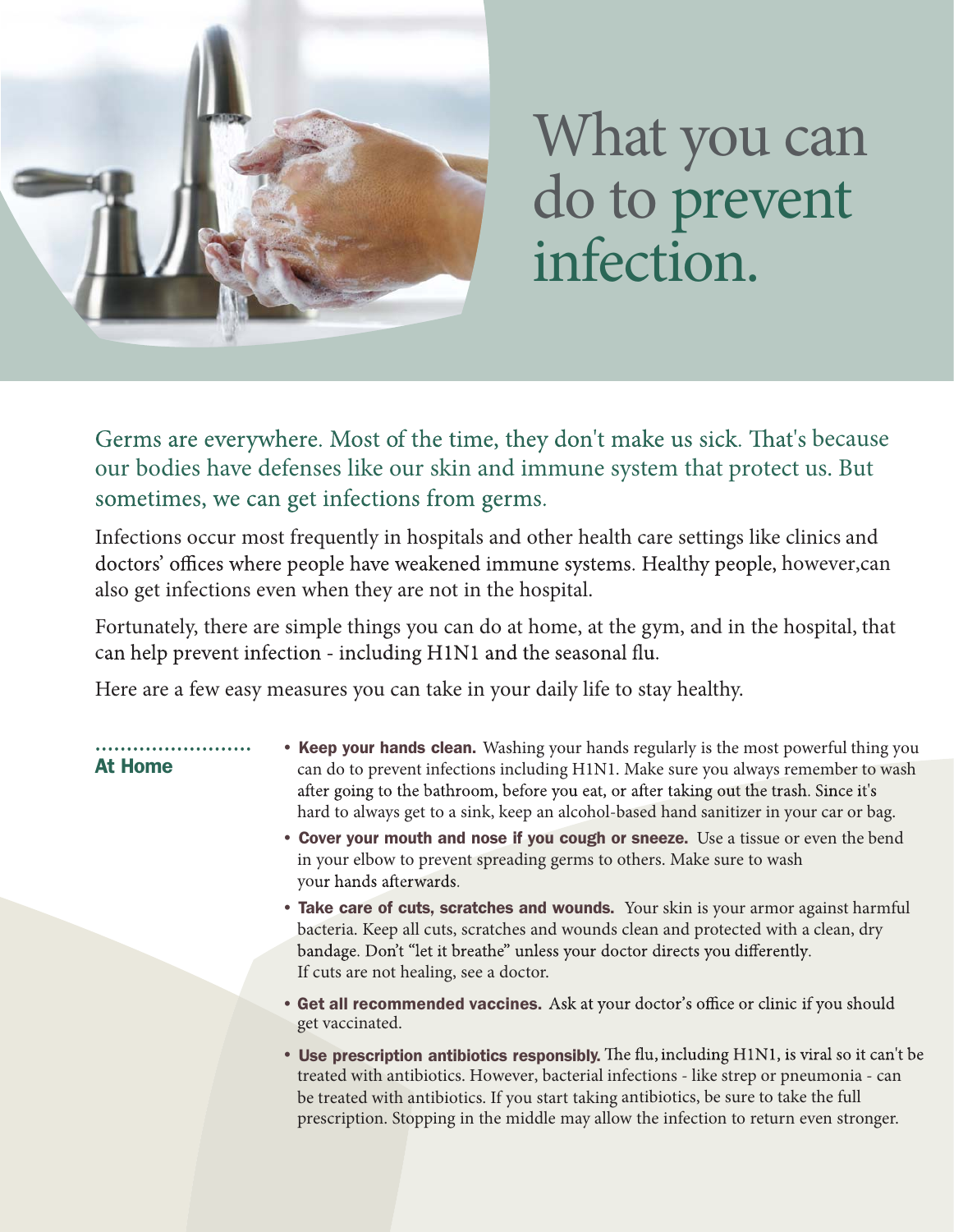

## What you can do to prevent infection.

Germs are everywhere. Most of the time, they don't make us sick. That's because our bodies have defenses like our skin and immune system that protect us. But sometimes, we can get infections from germs.

Infections occur most frequently in hospitals and other health care settings like clinics and doctors' offices where people have weakened immune systems. Healthy people, however, can also get infections even when they are not in the hospital.

Fortunately, there are simple things you can do at home, at the gym, and in the hospital, that can help prevent infection - including H1N1 and the seasonal flu.

Here are a few easy measures you can take in your daily life to stay healthy.

At Home

. . . . . . . . . . . .

- Keep your hands clean. Washing your hands regularly is the most powerful thing you can do to prevent infections including H1N1. Make sure you always remember to wash after going to the bathroom, before you eat, or after taking out the trash. Since it's hard to always get to a sink, keep an alcohol-based hand sanitizer in your car or bag.
- Cover your mouth and nose if you cough or sneeze. Use a tissue or even the bend in your elbow to prevent spreading germs to others. Make sure to wash your hands afterwards.
- Take care of cuts, scratches and wounds. Your skin is your armor against harmful bacteria. Keep all cuts, scratches and wounds clean and protected with a clean, dry bandage. Don't "let it breathe" unless your doctor directs you differently. If cuts are not healing, see a doctor.
- Get all recommended vaccines. get vaccinated.
- Use prescription antibiotics responsibly. treated with antibiotics. However, bacterial infections - like strep or pneumonia - can be treated with antibiotics. If you start taking antibiotics, be sure to take the full p rescription. Stopping in the middle may allow the infection to return even stronger.